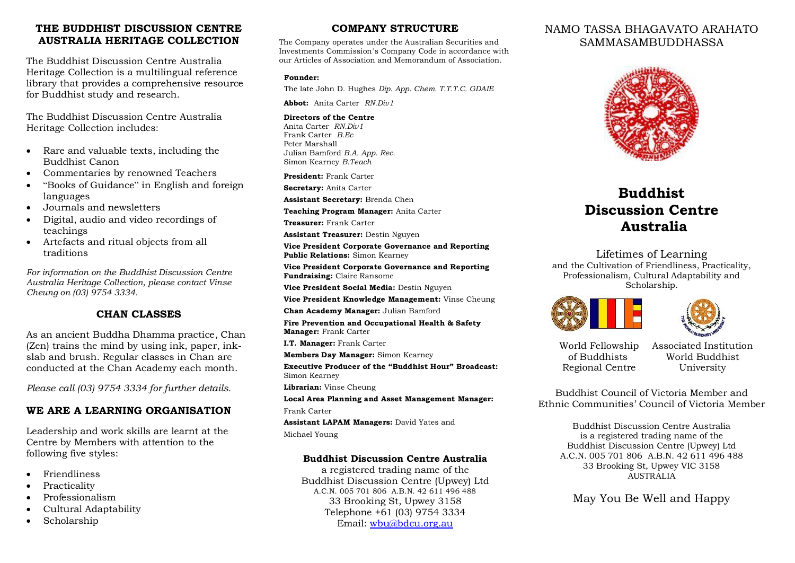# **THE BUDDHIST DISCUSSION CENTRE AUSTRALIA HERITAGE COLLECTION**

The Buddhist Discussion Centre Australia Heritage Collection is a multilingual reference library that provides a comprehensive resource for Buddhist study and research.

The Buddhist Discussion Centre Australia Heritage Collection includes:

- Rare and valuable texts, including the Buddhist Canon
- Commentaries by renowned Teachers
- "Books of Guidance" in English and foreign languages
- Journals and newsletters
- Digital, audio and video recordings of teachings
- Artefacts and ritual objects from all traditions

*For information on the Buddhist Discussion Centre Australia Heritage Collection, please contact Vinse Cheung on (03) 9754 3334.*

# **CHAN CLASSES**

As an ancient Buddha Dhamma practice, Chan (Zen) trains the mind by using ink, paper, inkslab and brush. Regular classes in Chan are conducted at the Chan Academy each month.

*Please call (03) 9754 3334 for further details.* 

# **WE ARE A LEARNING ORGANISATION**

Leadership and work skills are learnt at the Centre by Members with attention to the following five styles:

- Friendliness
- **Practicality**
- Professionalism
- Cultural Adaptability
- Scholarship

# **COMPANY STRUCTURE**

The Company operates under the Australian Securities and Investments Commission's Company Code in accordance with our Articles of Association and Memorandum of Association.

#### **Founder:**

The late John D. Hughes *Dip. App. Chem. T.T.T.C. GDAIE*

**Abbot:** Anita Carter *RN.Div1*

#### **Directors of the Centre**

Anita Carter *RN.Div1* Frank Carter *B.Ec* Peter Marshall Julian Bamford *B.A. App. Rec.* Simon Kearney *B.Teach*

**President:** Frank Carter

**Secretary:** Anita Carter

**Assistant Secretary:** Brenda Chen

**Teaching Program Manager:** Anita Carter

**Treasurer:** Frank Carter

**Assistant Treasurer:** Destin Nguyen

**Vice President Corporate Governance and Reporting Public Relations:** Simon Kearney

**Vice President Corporate Governance and Reporting Fundraising:** Claire Ransome

**Vice President Social Media:** Destin Nguyen

**Vice President Knowledge Management:** Vinse Cheung

**Chan Academy Manager:** Julian Bamford

**Fire Prevention and Occupational Health & Safety Manager:** Frank Carter

**I.T. Manager:** Frank Carter

**Members Day Manager:** Simon Kearney

**Executive Producer of the "Buddhist Hour" Broadcast:**  Simon Kearney

**Librarian:** Vinse Cheung

**Local Area Planning and Asset Management Manager:**

Frank Carter

**Assistant LAPAM Managers:** David Yates and Michael Young

### **Buddhist Discussion Centre Australia**

a registered trading name of the Buddhist Discussion Centre (Upwey) Ltd A.C.N. 005 701 806 A.B.N. 42 611 496 488 33 Brooking St, Upwey 3158 Telephone +61 (03) 9754 3334 Email: [wbu@bdcu.org.au](mailto:wbu@bdcu.org.au)

# NAMO TASSA BHAGAVATO ARAHATO SAMMASAMBUDDHASSA



# **Buddhist Discussion Centre Australia**

Lifetimes of Learning and the Cultivation of Friendliness, Practicality, Professionalism, Cultural Adaptability and Scholarship.





World Fellowship of Buddhists Regional Centre

Associated Institution World Buddhist University

Buddhist Council of Victoria Member and Ethnic Communities' Council of Victoria Member

Buddhist Discussion Centre Australia is a registered trading name of the Buddhist Discussion Centre (Upwey) Ltd A.C.N. 005 701 806 A.B.N. 42 611 496 488 33 Brooking St, Upwey VIC 3158 AUSTRALIA

May You Be Well and Happy